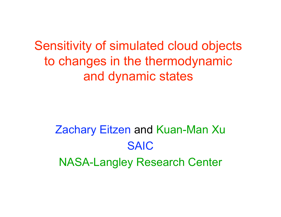Sensitivity of simulated cloud objects to changes in the thermodynamic and dynamic states

Zachary Eitzen and Kuan-Man Xu SAIC NASA-Langley Research Center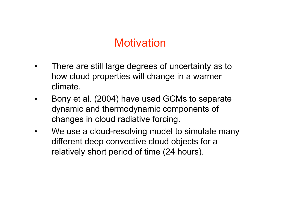# **Motivation**

- There are still large degrees of uncertainty as to how cloud properties will change in a warmer climate.
- Bony et al. (2004) have used GCMs to separate dynamic and thermodynamic components of changes in cloud radiative forcing.
- We use a cloud-resolving model to simulate many different deep convective cloud objects for a relatively short period of time (24 hours).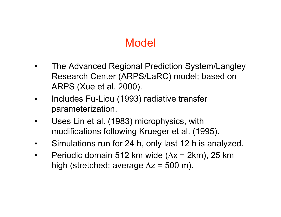# Model

- The Advanced Regional Prediction System/Langley Research Center (ARPS/LaRC) model; based on ARPS (Xue et al. 2000).
- Includes Fu-Liou (1993) radiative transfer parameterization.
- Uses Lin et al. (1983) microphysics, with modifications following Krueger et al. (1995).
- Simulations run for 24 h, only last 12 h is analyzed.
- Periodic domain 512 km wide  $(\Delta x = 2km)$ , 25 km high (stretched; average  $\Delta z = 500$  m).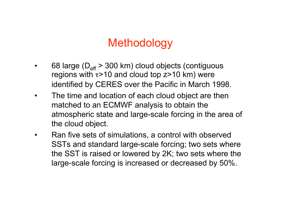# **Methodology**

- 68 large ( $D_{\text{eff}}$  > 300 km) cloud objects (contiguous regions with  $\tau$ >10 and cloud top  $z$ >10 km) were identified by CERES over the Pacific in March 1998.
- The time and location of each cloud object are then matched to an ECMWF analysis to obtain the atmospheric state and large-scale forcing in the area of the cloud object.
- Ran five sets of simulations, a control with observed SSTs and standard large-scale forcing; two sets where the SST is raised or lowered by 2K; two sets where the large-scale forcing is increased or decreased by 50%.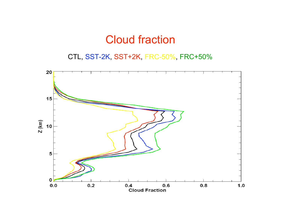## Cloud fraction

CTL, SST-2K, SST+2K, FRC-50%, FRC+50%

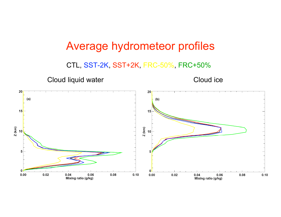## Average hydrometeor profiles

CTL, SST-2K, SST+2K, FRC-50%, FRC+50%

Cloud liquid water Cloud ice

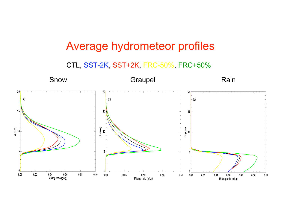# Average hydrometeor profiles

CTL, SST-2K, SST+2K, FRC-50%, FRC+50%

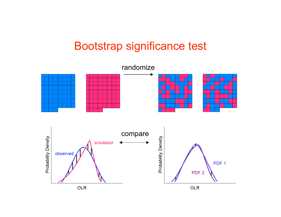# Bootstrap significance test

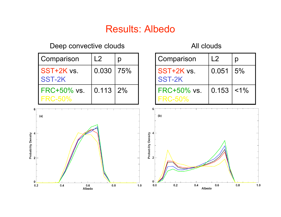## Results: Albedo

#### Deep convective clouds All clouds

| Comparison                    | L2         | Ŋ   |
|-------------------------------|------------|-----|
| SST+2K vs.<br>SST-2K          | 0.030      | 75% |
| FRC+50% vs.<br><b>FRC-50%</b> | 0.113   2% |     |

| Comparison                       | L <sub>2</sub> | p                |
|----------------------------------|----------------|------------------|
| SST+2K vs.<br>SST-2K             | 0.051          | $\frac{1}{2}$ 5% |
| $FRC+50\%$ vs.<br><b>FRC-50%</b> | 0.153          | $< 1\%$          |

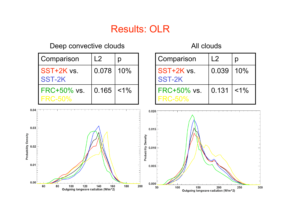### Results: OLR

#### Deep convective clouds and all clouds All clouds

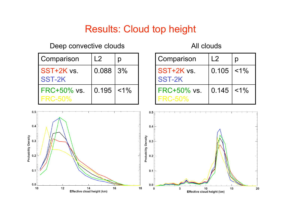## Results: Cloud top height

### Deep convective clouds All clouds

| Comparison                    | L2         | Ŋ       |
|-------------------------------|------------|---------|
| SST+2K vs.<br>SST-2K          | 0.088   3% |         |
| FRC+50% vs.<br><b>FRC-50%</b> | 0.195      | $< 1\%$ |

| Comparison                         | $\mid$ 2 |       |
|------------------------------------|----------|-------|
| <b>SST+2K vs.</b><br><b>SST-2K</b> | 0.105    | $1\%$ |
| FRC+50% vs.<br><b>FRC-50%</b>      | 0.145    | $1\%$ |

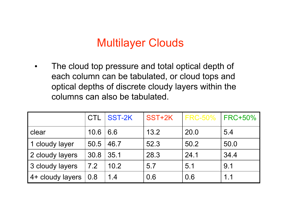# Multilayer Clouds

• The cloud top pressure and total optical depth of each column can be tabulated, or cloud tops and optical depths of discrete cloudy layers within the columns can also be tabulated.

|                  |      | CTL SST-2K | SST+2K | <b>FRC-50% FRC+50%</b> |      |
|------------------|------|------------|--------|------------------------|------|
| clear            | 10.6 | 6.6        | 13.2   | 20.0                   | 5.4  |
| 1 cloudy layer   | 50.5 | 46.7       | 52.3   | 50.2                   | 50.0 |
| 2 cloudy layers  | 30.8 | 35.1       | 28.3   | 24.1                   | 34.4 |
| 3 cloudy layers  | 7.2  | 10.2       | 5.7    | 5.1                    | 9.1  |
| 4+ cloudy layers | 0.8  | 1.4        | 0.6    | 0.6                    | 1.1  |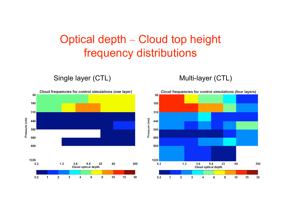# Optical depth – Cloud top height frequency distributions

Single layer (CTL) Multi-layer (CTL)



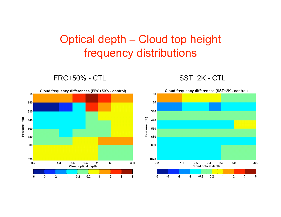# Optical depth – Cloud top height frequency distributions

FRC+50% - CTL SST+2K - CTL